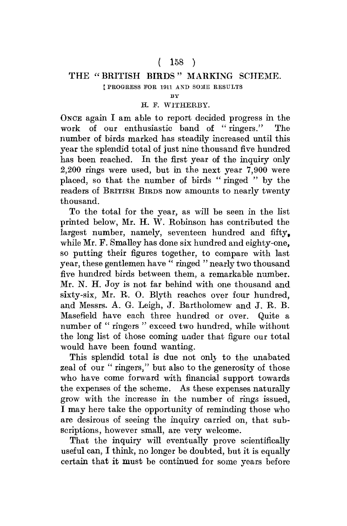# $(158)$

### THE "BRITISH BIRDS" MARKING SCHEME. [ PROGRESS FOR 1911 AND SOME RESULTS

**BY** 

### H. F. WITHERBY.

ONCE again I am able to report decided progress in the work of our enthusiastic band of " ringers." The number of birds marked has steadily increased until this year the splendid total of just nine thousand five hundred has been reached. In the first year of the inquiry only 2,200 rings were used, but in the next year 7,900 were placed, so that the number of birds " ringed " by the readers of BRITISH BIRDS now amounts to nearly twenty thousand.

To the total for the year, as will be seen in the list printed below, Mr. H. W. Robinson has contributed the largest number, namely, seventeen hundred and fifty. while Mr. F. Smalley has done six hundred and eighty-one, so putting their figures together, to compare with last year, these gentlemen have " ringed " nearly two thousand five hundred birds between them, a remarkable number. Mr. N. H. Joy is not far behind with one thousand and sixty-six, Mr. R. O. Blyth reaches over four hundred, and Messrs. A. G. Leigh, J. Bartholomew and J. R. B. Masefield have each three hundred or over. Quite a number of " ringers " exceed two hundred, while without the long list of those coming under that figure our total would have been found wanting.

This splendid total is due not only to the unabated zeal of our " ringers," but also to the generosity of those who have come forward with financial support towards the expenses of the scheme. As these expenses naturally grow with the increase in the number of rings issued, I may here take the opportunity of reminding those who are desirous of seeing the inquiry carried on, that subscriptions, however small, are very welcome.

That the inquiry will eventually prove scientifically useful can, I think, no longer be doubted, but it is equally certain that it must be continued for some years before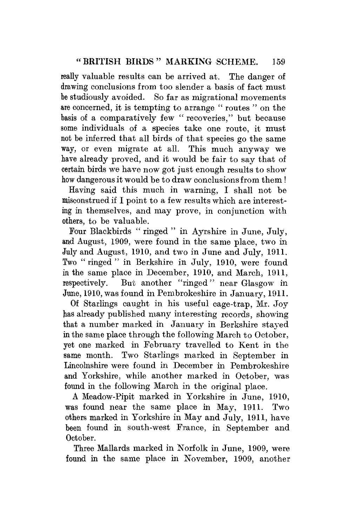really valuable results can be arrived at. The danger of drawing conclusions from too slender a basis of fact must be studiously avoided. So far as migrational movements are concerned, it is tempting to arrange " routes " on the basis of a comparatively few " recoveries," but because some individuals of a species take one route, it must not be inferred that all birds of that species go the same way, or even migrate at all. This much anyway we have already proved, and it would be fair to say that of certain birds we have now got just enough results to show how dangerous it would be to draw conclusions from them!

Having said this much in warning, I shall not be misconstrued if I point to a few results which are interesting in themselves, and may prove, in conjunction with others, to be valuable.

Four Blackbirds " ringed " in Ayrshire in June, July, and August, 1909, were found in the same place, two in July and August, 1910, and two in June and July, 1911. Two " ringed " in Berkshire in July, 1910, were found in the same place in December, 1910, and March, 1911, respectively. But another "ringed" near Glasgow in June, 1910, was found in Pembrokeshire in January, 1911.

Of Starlings caught in his useful cage-trap, Mr. Joy has already published many interesting records, showing that a number marked in January in Berkshire stayed in the same place through the following March to October, yet one marked in February travelled to Kent in the same month. Two Starlings marked in September in Lincolnshire were found in December in Pembrokeshire and Yorkshire, while another marked in October, was found in the following March in the original place.

A Meadow-Pipit marked in Yorkshire in June, 1910, was found near the same place in May, 1911. Two others marked in Yorkshire in May and July, 1911, have been found in south-west Prance, in September and October.

Three Mallards marked in Norfolk in June, 1909, were found in the same place in November, 1909, another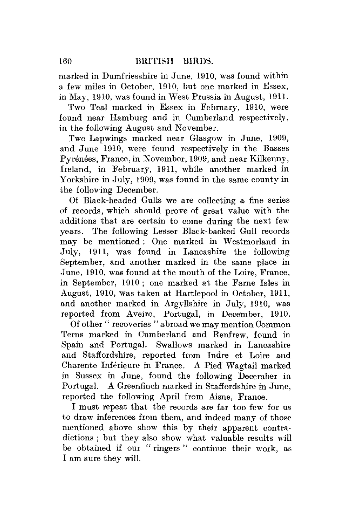marked in Dumfriesshire in June, 1910, was found within a few miles in October, 1910, but one marked in Essex, in May, 1910, was found in West Prussia in August, 1911.

Two Teal marked in Essex in February, 1910, were found near Hamburg and in Cumberland respectively, in the following August and November.

Two Lapwings marked near Glasgow in June, 1909, and June 1910, were found respectively in the Basses Pyrénées, France, in November, 1909, and near Kilkenny, Ireland, in February, 1911, while another marked in Yorkshire in July, 1909, was found in the same county in the following December.

Of Black-headed Gulls we are collecting a fine series of records, which should prove of great value with the additions that are certain to come during the next few years. The following Lesser Black-backed Gull records may be mentioned : One marked in Westmorland in July, 1911, was found in Lancashire the following September, and another marked in the same place in June, 1910, was found at the mouth of the Loire, France, in September, 1910 ; one marked at the Fame Isles in August, 1910, was taken at Hartlepool in October, 1911, and another marked in Argyllshire in July, 1910, was reported from Aveiro, Portugal, in December, 1910.

Of other " recoveries " abroad we may mention Common Terns marked in Cumberland and Renfrew, found in Spain and Portugal. Swallows marked in Lancashire and Staffordshire, reported from Indre et Loire and Charente Inferieure in France. A Pied Wagtail marked in Sussex in June, found the following December in Portugal. A Greenfinch marked in Staffordshire in June, reported the following April from Aisne, France.

I must repeat that the records are far too few for us to draw inferences from them, and indeed many of those mentioned above show this by their apparent contradictions ; but they also show what valuable results will be obtained if our " ringers " continue their work, as I am sure they will.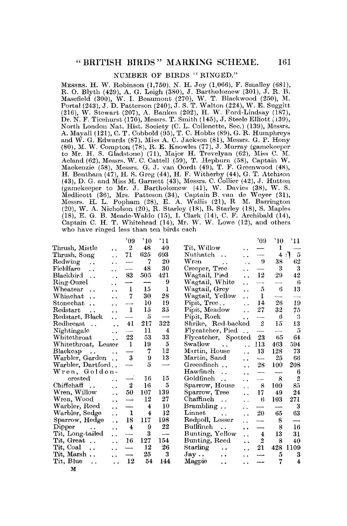#### NUMBER OF BIRDS "RINGED."

MESSRS. H. W. Robinson (1,750), N. H. Joy (1,066), F. Smalley (681), R. O. Blyth (429), A. G. Leigh (380), J. Bartholomew (301), J. R. B. B. A. B. R. H. Masefield (300), W. I. Deaumont (270), W. T. Blackwood (250), M. Port Dr. N. F. Ticehurst (170), Messrs. T. Smith (145), J. Steele Elliott (139), North London Nat. Hist. Society (C. L. Collenette, Sec.) (139), Messrs. A. Mayall (121), C. T. Cobbold (95), T. C. Hobbs (89), G. R. Humphreys<br>and W. G. Edwards (87), Miss A. C. Jackson (81), Messrs. G. P. Hony (80), M. W. Compton (78), R. E. Knowles (77), J. Murray (gamekeeper<br>to Mr. H. S. Gladstone) (71), Major H. Trevelyan (62), Miss C. M.<br>Acland (62), Messrs. W. C. Cattell (59), T. Hepburn (58), Captain W. Mackenzie (58), Messrs. G. J. van Oordt (49), T. F. Greenwood (48), H. Bentham (47), H. S. Greg (44), H. F. Witherby (44), G. T. Atchison (43), D. G. and Miss M. Garnett (43), Messrs. C. Collier (42), J. Hutton (gamekeeper to Mr. J. Bartholomew (41), W. Davies (38), W. S. Medlieott (36), Mrs. Patteson (34), Captain B. van de Weyer (31), Messrs. H. L. Popham (28), E. A. Wallis (21), R M. Barrington (20), W. A. Nicholson (20), R. Starley (18), B. Starley (18), S. Maples (18), E. G. B. Meade-Waldo (15), I. Clark (14), C. F. Archibald (14), Captain C. H. T. Whitehead (14), Mr. W. W. Lowe (12), and others who have ringed less than ten birds each

|                                                 | $^{\circ}09$            | $^{\circ}10$            | '11          |                                                        | '09                      | $^{\circ}10$ | '11                     |
|-------------------------------------------------|-------------------------|-------------------------|--------------|--------------------------------------------------------|--------------------------|--------------|-------------------------|
| Thrush, Mistle<br>. .                           | $\overline{2}$          | 48                      | 40           | Tit, Willow<br>. .                                     |                          | ı            |                         |
| Thrush, Song<br>$\ddot{\phantom{0}}$            | 71                      | 625                     | 693          | Nuthatch<br>. .                                        | ---                      | 4:7          | 5                       |
| $_{\rm Redwing}$<br>$\ddot{\phantom{a}}$<br>. . |                         | 7                       | 20           | Wren<br>$\sim$ .<br>$\ddot{\phantom{0}}$               | - 9                      | 38           | 62                      |
| Fieldfare<br>$\ddot{\phantom{a}}$<br>. .        | ----                    | 48                      | 30           | Creeper, Tree<br>٠×                                    |                          | 3            | 3                       |
| Blackbird<br>$\ddot{\phantom{a}}$<br>. .        | 83                      | 505                     | 421          | Wagtail, Pied<br>$\ddot{\phantom{0}}$                  | 12                       | 29           | 42                      |
| Ring-Ouzel<br>. .                               |                         |                         | 9            | Wagtail, White<br>$\ddot{\phantom{0}}$                 |                          |              | 6                       |
| Wheatear<br>$\ddot{\phantom{0}}$                | 1                       | 15                      | $\mathbf{I}$ | Wagtail, Grey<br>$\ddot{\phantom{a}}$                  | 5                        | 6            | 13                      |
| ${\rm Whinchat}$<br>$\ddot{\phantom{a}}$<br>٠.  | 7.                      | 30                      | 28           | Wagtail, Yellow<br>$\ddot{\phantom{0}}$                | 1                        |              |                         |
| Stonechat<br>$\ddot{\phantom{a}}$               |                         | 10                      | 19           | Pipit, Tree<br>$\ddot{\phantom{0}}$                    | 14                       | 26           | 19                      |
| Redstart<br>. .<br>. .                          | 1                       | 15                      | 35           | Pipit, Meadow<br>$\ddot{\phantom{0}}$                  | 27                       | 32           | 75                      |
| Redstart, Black<br>$\ddot{\phantom{0}}$         |                         | 5                       | -----        | Pipit, Rock<br>. .                                     | ----                     | 6            | 3                       |
| Redbreast<br>$\sim$<br>. .                      | 41                      | 217                     | 322          | Shrike, Red-backed                                     | 2                        | 15           | 13                      |
| Nightingale<br>. .                              |                         | 11                      | 4            | Flycatcher, Pied                                       | —                        | ------       | 5                       |
| Whitethroat<br>$\ddot{\phantom{0}}$             | 22                      | 53                      | 33           | Flycatcher, Spotted                                    | 23                       | 65           | 64                      |
| Whitethroat, Lesser                             | -1                      | 19                      | 5            | Swallow<br>$\ddotsc$<br>$\ddot{\phantom{0}}$           | 113                      | 463          | 594                     |
| Blackcap<br>$\ddot{\phantom{0}}$<br>. .         |                         | 7                       | 12           | Martin, House<br>$\ddot{\phantom{a}}$                  | 13                       | 128          | 73                      |
| Warbler, Garden                                 | 3                       | 9                       | 13           | Martin, Sand<br>. .                                    | -------                  | 25           | 66                      |
| Warbler, Dartford                               |                         | 5                       |              | Greenfinch<br>$\ddot{\phantom{0}}$                     | 28                       | 100          | 208                     |
| Wren, Golden-                                   |                         |                         |              | Hawfinch<br>$\ddot{\phantom{a}}$<br>. .                |                          |              | 6                       |
| erested<br>$\ddot{\phantom{a}}$                 |                         | 16                      | 15           | Goldfinch<br>$\sim$<br>. .                             | --                       | 8            | $\overline{2}$          |
| Chiffchaff<br>$\cdot$ .<br>$\ddot{\phantom{0}}$ | 2                       | 16                      | 5            | Sparrow, House<br>$\ddot{\phantom{0}}$                 | 8                        | 109          | 85                      |
| Wren, Willow<br>$\ddot{\phantom{0}}$            | 50                      | 107                     | 139          | Sparrow, Tree<br>$\ddotsc$                             | 17                       | 49           | 24                      |
| Wren, Wood<br>. .                               | ----                    | 12                      | 27           | Chaffinch<br>$\ddot{\phantom{a}}$<br>. .               | 移                        | 103          | 271                     |
| Warbler, Reed<br>. .                            |                         | $\overline{\mathbf{4}}$ | 10           | Brambling<br>٠.                                        | ------                   | ------       | 3                       |
| Warbler, Sedge<br>. .                           | 1                       | $\overline{4}$          | 12           | Linnet<br>$\ddot{\phantom{a}}$<br>$\ddot{\phantom{0}}$ | 20                       | 65           | 63                      |
| Sparrow, Hedge<br>. .                           | 18                      | 117                     | 198          | Redpoll, Lesser<br>. .                                 | $\overline{\phantom{0}}$ | 8            |                         |
| Dipper<br>. .                                   | $\overline{\mathbf{4}}$ | 9                       | $^{22}$      | Bullfinch<br>$\ddot{\phantom{a}}$<br>. .               |                          | 8            | 16                      |
| Tit, Long-tailed<br>. .                         |                         | 3                       | ---          | Bunting, Yellow<br>$\ddot{\phantom{a}}$                | $\overline{\mathbf{4}}$  | 13           | 31                      |
| Tit, Great<br>. .                               | 16                      | 127                     | 154          | Bunting, Reed<br>. .                                   | $\overline{2}$           | 8            | 40                      |
| Tit, Coal<br>$\ddot{\phantom{a}}$<br>Ω.         |                         | 12                      | 26           | Starling<br>$\ddot{\phantom{a}}$<br>. .                | 21                       | 428          | 1109                    |
| Tit, Marsh<br>. .                               |                         | 25                      | 3            | $\rm{Jay} \, \ldots$<br>$\ddot{\phantom{a}}$<br>. .    | ----                     | 5            | 3                       |
| Tit, Blue<br>$\ddot{\phantom{a}}$<br>. .        | 12                      | 54                      | 144          | Magpie<br>. .<br>. .                                   |                          | 7            | $\overline{\mathbf{4}}$ |
| M                                               |                         |                         |              |                                                        |                          |              |                         |